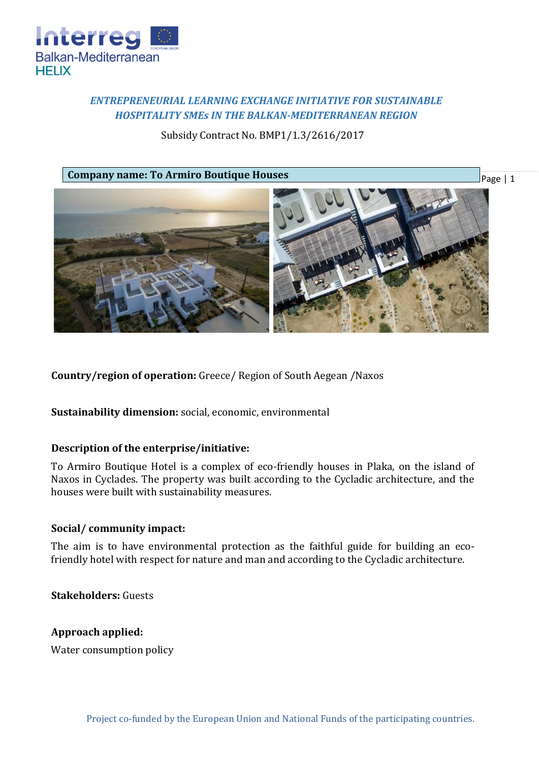

# *ENTREPRENEURIAL LEARNING EXCHANGE INITIATIVE FOR SUSTAINABLE HOSPITALITY SMEs IN THE BALKAN-MEDITERRANEAN REGION*

Subsidy Contract No. BMP1/1.3/2616/2017

#### **Company name: To Armiro Boutique Houses**

Page | 1



**Country/region of operation:** Greece/ Region of South Aegean /Naxos

**Sustainability dimension:** social, economic, environmental

# **Description of the enterprise/initiative:**

To Armiro Boutique Hotel is a complex of eco-friendly houses in Plaka, on the island of Naxos in Cyclades. The property was built according to the Cycladic architecture, and the houses were built with sustainability measures.

# **Social/ community impact:**

The aim is to have environmental protection as the faithful guide for building an ecofriendly hotel with respect for nature and man and according to the Cycladic architecture.

**Stakeholders:** Guests

# **Approach applied:**

Water consumption policy